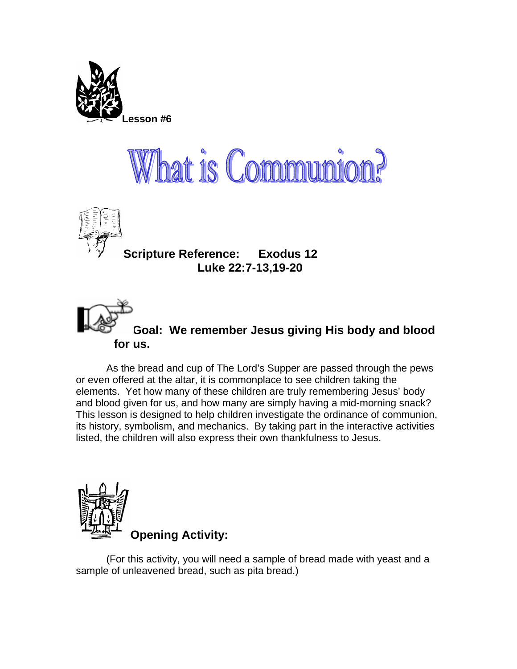





**Scripture Reference: Exodus 12 Luke 22:7-13,19-20** 



## **Goal: We remember Jesus giving His body and blood for us.**

As the bread and cup of The Lord's Supper are passed through the pews or even offered at the altar, it is commonplace to see children taking the elements. Yet how many of these children are truly remembering Jesus' body and blood given for us, and how many are simply having a mid-morning snack? This lesson is designed to help children investigate the ordinance of communion, its history, symbolism, and mechanics. By taking part in the interactive activities listed, the children will also express their own thankfulness to Jesus.



(For this activity, you will need a sample of bread made with yeast and a sample of unleavened bread, such as pita bread.)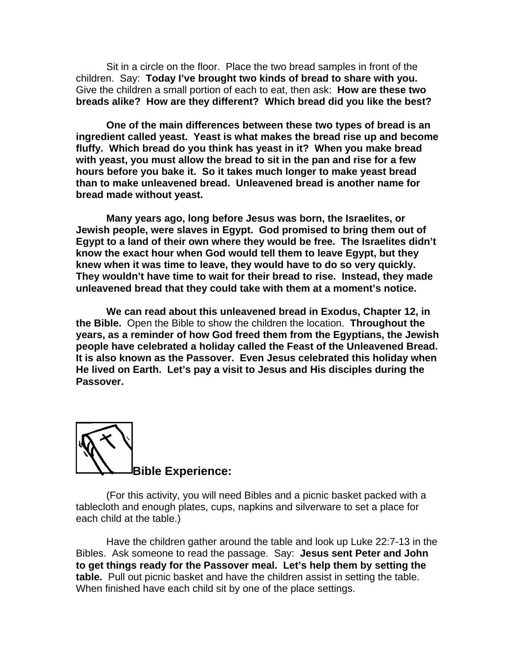Sit in a circle on the floor. Place the two bread samples in front of the children. Say: **Today I've brought two kinds of bread to share with you.** Give the children a small portion of each to eat, then ask: **How are these two breads alike? How are they different? Which bread did you like the best?** 

**One of the main differences between these two types of bread is an ingredient called yeast. Yeast is what makes the bread rise up and become fluffy. Which bread do you think has yeast in it? When you make bread with yeast, you must allow the bread to sit in the pan and rise for a few hours before you bake it. So it takes much longer to make yeast bread than to make unleavened bread. Unleavened bread is another name for bread made without yeast.** 

**Many years ago, long before Jesus was born, the Israelites, or Jewish people, were slaves in Egypt. God promised to bring them out of Egypt to a land of their own where they would be free. The Israelites didn't know the exact hour when God would tell them to leave Egypt, but they knew when it was time to leave, they would have to do so very quickly. They wouldn't have time to wait for their bread to rise. Instead, they made unleavened bread that they could take with them at a moment's notice.** 

**We can read about this unleavened bread in Exodus, Chapter 12, in the Bible.** Open the Bible to show the children the location. **Throughout the years, as a reminder of how God freed them from the Egyptians, the Jewish people have celebrated a holiday called the Feast of the Unleavened Bread. It is also known as the Passover. Even Jesus celebrated this holiday when He lived on Earth. Let's pay a visit to Jesus and His disciples during the Passover.** 



(For this activity, you will need Bibles and a picnic basket packed with a tablecloth and enough plates, cups, napkins and silverware to set a place for each child at the table.)

Have the children gather around the table and look up Luke 22:7-13 in the Bibles. Ask someone to read the passage. Say: **Jesus sent Peter and John to get things ready for the Passover meal. Let's help them by setting the table.** Pull out picnic basket and have the children assist in setting the table. When finished have each child sit by one of the place settings.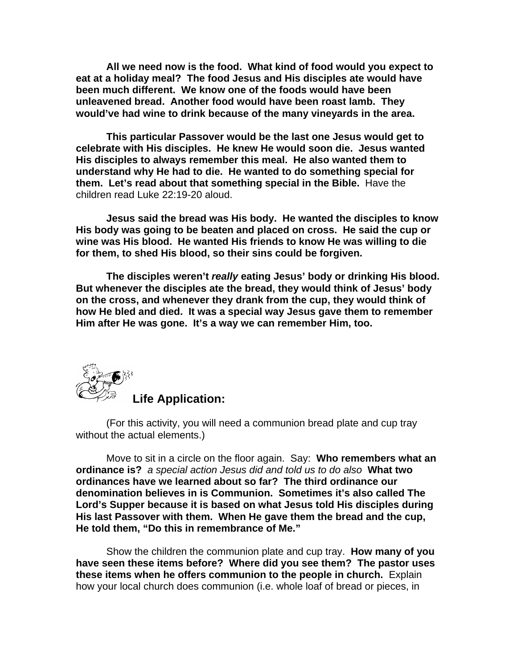**All we need now is the food. What kind of food would you expect to eat at a holiday meal? The food Jesus and His disciples ate would have been much different. We know one of the foods would have been unleavened bread. Another food would have been roast lamb. They would've had wine to drink because of the many vineyards in the area.** 

**This particular Passover would be the last one Jesus would get to celebrate with His disciples. He knew He would soon die. Jesus wanted His disciples to always remember this meal. He also wanted them to understand why He had to die. He wanted to do something special for them. Let's read about that something special in the Bible.** Have the children read Luke 22:19-20 aloud.

**Jesus said the bread was His body. He wanted the disciples to know His body was going to be beaten and placed on cross. He said the cup or wine was His blood. He wanted His friends to know He was willing to die for them, to shed His blood, so their sins could be forgiven.** 

**The disciples weren't** *really* **eating Jesus' body or drinking His blood. But whenever the disciples ate the bread, they would think of Jesus' body on the cross, and whenever they drank from the cup, they would think of how He bled and died. It was a special way Jesus gave them to remember Him after He was gone. It's a way we can remember Him, too.** 



(For this activity, you will need a communion bread plate and cup tray without the actual elements.)

Move to sit in a circle on the floor again. Say: **Who remembers what an ordinance is?** *a special action Jesus did and told us to do also* **What two ordinances have we learned about so far? The third ordinance our denomination believes in is Communion. Sometimes it's also called The Lord's Supper because it is based on what Jesus told His disciples during His last Passover with them. When He gave them the bread and the cup, He told them, "Do this in remembrance of Me."** 

Show the children the communion plate and cup tray. **How many of you have seen these items before? Where did you see them? The pastor uses these items when he offers communion to the people in church.** Explain how your local church does communion (i.e. whole loaf of bread or pieces, in